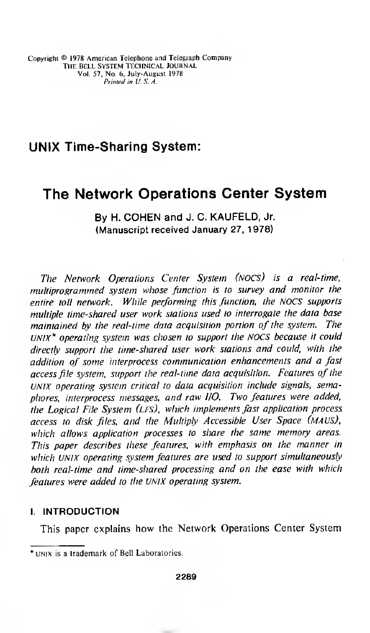# UNIX Time-Sharing System:

# The Network Operations Center System

By H. COHEN and J. C. KAUFELD, Jr. (Manuscript received January 27, 1978)

The Network Operations Center System (nocs) is a real-time, multiprogrammed system whose function is to survey and monitor the entire toll network. While performing this function, the NOCS supports multiple time-shared user work stations used to interrogate the data base maintained by the real-time data acquisition portion of the system. The UNIX\* operating system was chosen to support the NOCS because it could directly support the time-shared user work stations and could, with the addition of some interprocess communication enhancements and a fast access file system, support the real-time data acquisition. Features of the UNIX operating system critical to data acquisition include signals, semaphores, interprocess messages, and raw I/O. Two features were added, the Logical File System (LFS), which implements fast application process access to disk files, and the Multiply Accessible User Space (maus), which allows application processes to share the same memory areas. This paper describes these features, with emphasis on the manner in which UNIX operating system features are used to support simultaneously both real-time and time-shared processing and on the ease with which features were added to the UNIX operating system.

# I. INTRODUCTION

This paper explains how the Network Operations Center System

unix is a trademark of Bell Laboratories.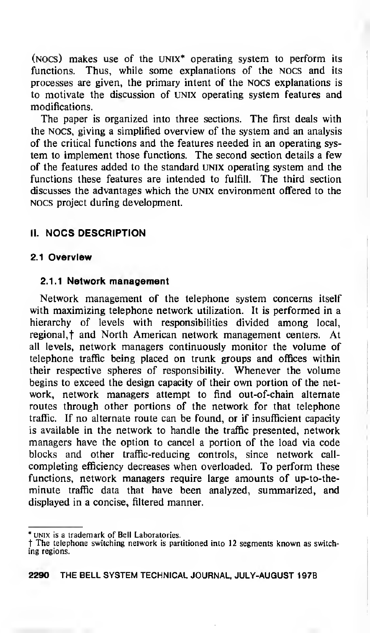( $NOCS$ ) makes use of the UNIX<sup>\*</sup> operating system to perform its functions. Thus, while some explanations of the nocs and its processes are given, the primary intent of the nocs explanations is to motivate the discussion of unix operating system features and modifications.

The paper is organized into three sections. The first deals with the nocs, giving a simplified overview of the system and an analysis of the critical functions and the features needed in an operating system to implement those functions. The second section details a few of the features added to the standard unix operating system and the functions these features are intended to fulfill. The third section discusses the advantages which the UNIX environment offered to the nocs project during development.

# II. NOCS DESCRIPTION

# 2.1 Overview

#### 2.1 .1 Network management

Network management of the telephone system concerns itself with maximizing telephone network utilization. It is performed in a hierarchy of levels with responsibilities divided among local, regional,<sup>†</sup> and North American network management centers. At all levels, network managers continuously monitor the volume of telephone traffic being placed on trunk groups and offices within their respective spheres of responsibility. Whenever the volume begins to exceed the design capacity of their own portion of the network, network managers attempt to find out-of-chain alternate routes through other portions of the network for that telephone traffic. If no alternate route can be found, or if insufficient capacity is available in the network to handle the traffic presented, network managers have the option to cancel a portion of the load via code blocks and other traffic-reducing controls, since network callcompleting efficiency decreases when overloaded. To perform these functions, network managers require large amounts of up-to-theminute traffic data that have been analyzed, summarized, and displayed in a concise, filtered manner.

UNIX is a trademark of Bell Laboratories.

t The telephone switching network is partitioned into <sup>12</sup> segments known as switching regions.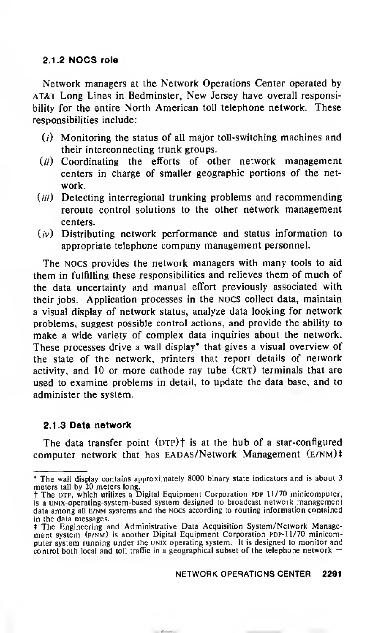### 2.1.2 NOCS role

Network managers at the Network Operations Center operated by AT&T Long Lines in Bedminster, New Jersey have overall responsibility for the entire North American toll telephone network. These responsibilities include:

- $(i)$  Monitoring the status of all major toll-switching machines and their interconnecting trunk groups.
- $(i)$  Coordinating the efforts of other network management centers in charge of smaller geographic portions of the network.
- (iii) Detecting interregional trunking problems and recommending reroute control solutions to the other network management centers.
- $(i)$  Distributing network performance and status information to appropriate telephone company management personnel.

The nocs provides the network managers with many tools to aid them in fulfilling these responsibilities and relieves them of much of the data uncertainty and manual effort previously associated with their jobs. Application processes in the NOCS collect data, maintain a visual display of network status, analyze data looking for network problems, suggest possible control actions, and provide the ability to make <sup>a</sup> wide variety of complex data inquiries about the network. These processes drive a wall display\* that gives a visual overview of the state of the network, printers that report details of network activity, and 10 or more cathode ray tube (crt) terminals that are used to examine problems in detail, to update the data base, and to administer the system.

### 2.1.3 Data network

The data transfer point  $(DTP)$ <sup>†</sup> is at the hub of a star-configured computer network that has EADAS/Network Management (e/nm)\*

<sup>\*</sup> The wall display contains approximately 8000 binary state indicators and is about <sup>3</sup>

meters tall by 20 meters long.<br>† The DTP, which utilizes a Digital Equipment Corporation PDP 11/70 minicomputer, is <sup>a</sup> UNix-operating-system-based system designed to broadcast network management data among all e/nm systems and the nocs according to routing information contained in the data messages.

<sup>t</sup> The Engineering and Administrative Data Acquisition System/Network Manage ment system (e/nm) is another Digital Equipment Corporation pdp-11/70 minicomputer system running under the unix operating system. It is designed to monitor and control both local and toll traffic in <sup>a</sup> geographical subset of the telephone network —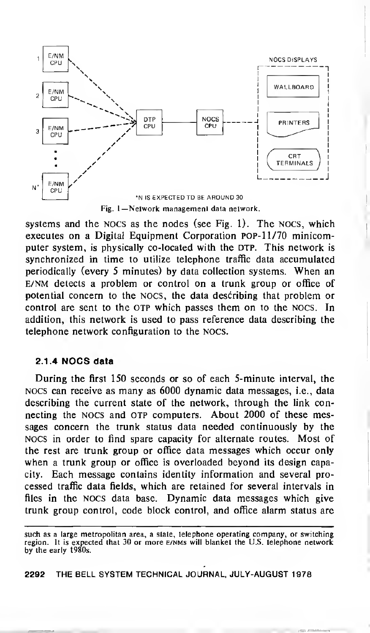

systems and the nocs as the nodes (see Fig. 1). The nocs, which executes on a Digital Equipment Corporation PDP-11/70 minicomputer system, is physically co-located with the DTP. This network is synchronized in time to utilize telephone traffic data accumulated periodically (every <sup>5</sup> minutes) by data collection systems. When an e/nm detects a problem or control on a trunk group or office of potential concern to the nocs, the data describing that problem or control are sent to the OTP which passes them on to the NOCS. In addition, this network is used to pass reference data describing the telephone network configuration to the NOCS.

### 2.1.4 NOCS data

During the first 150 seconds or so of each 5-minute interval, the nocs can receive as many as 6000 dynamic data messages, i.e., data describing the current state of the network, through the link connecting the NOCS and OTP computers. About 2000 of these messages concern the trunk status data needed continuously by the NOCS in order to find spare capacity for alternate routes. Most of the rest are trunk group or office data messages which occur only when <sup>a</sup> trunk group or office is overloaded beyond its design capacity. Each message contains identity information and several processed traffic data fields, which are retained for several intervals in files in the nocs data base. Dynamic data messages which give trunk group control, code block control, and office alarm status are

such as <sup>a</sup> large metropolitan area, <sup>a</sup> state, telephone operating company, or switching region. It is expected that 30 or more e/nms will blanket the U.S. telephone network by the early 1980s.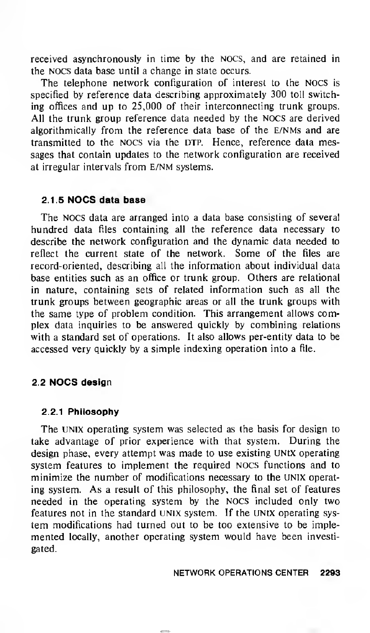received asynchronously in time by the NOCS, and are retained in the NOCS data base until a change in state occurs.

The telephone network configuration of interest to the NOCS is specified by reference data describing approximately 300 toll switching offices and up to 25,000 of their interconnecting trunk groups. All the trunk group reference data needed by the NOCS are derived algorithmically from the reference data base of the E/NMs and are transmitted to the NOCS via the DTP. Hence, reference data messages that contain updates to the network configuration are received at irregular intervals from e/nm systems.

### 2.1.5 NOCS data base

The NOCS data are arranged into a data base consisting of several hundred data files containing all the reference data necessary to describe the network configuration and the dynamic data needed to reflect the current state of the network. Some of the files are record-oriented, describing all the information about individual data base entities such as an office or trunk group. Others are relational in nature, containing sets of related information such as all the trunk groups between geographic areas or all the trunk groups with the same type of problem condition. This arrangement allows complex data inquiries to be answered quickly by combining relations with a standard set of operations. It also allows per-entity data to be accessed very quickly by a simple indexing operation into a file.

### 2.2 NOCS design

#### 2.2.1 Philosophy

The UNIX operating system was selected as the basis for design to take advantage of prior experience with that system. During the design phase, every attempt was made to use existing UNtX operating system features to implement the required NOCS functions and to minimize the number of modifications necessary to the UNIX operating system. As a result of this philosophy, the final set of features needed in the operating system by the NOCS included only two features not in the standard UNIX system. If the UNIX operating system modifications had turned out to be too extensive to be implemented locally, another operating system would have been investigated.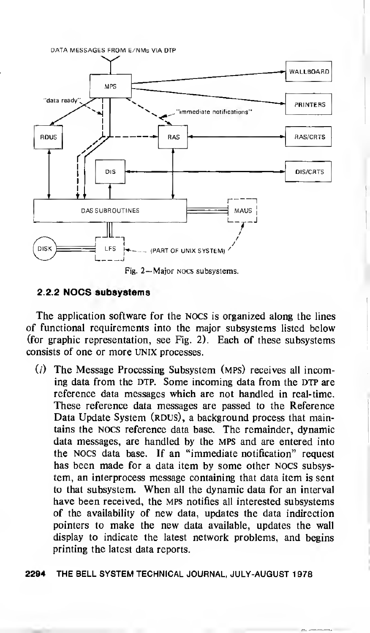

Fig. 2— Major nocs subsystems.

### 2.2.2 NOCS subsystems

The application software for the NOCS is organized along the lines of functional requirements into the major subsystems listed below (for graphic representation, see Fig. 2). Each of these subsystems consists of one or more UNIX processes.

- $(i)$  The Message Processing Subsystem (MPS) receives all incoming data from the DTP. Some incoming data from the DTP are reference data messages which are not handled in real-time. These reference data messages are passed to the Reference Data Update System (RDUS), a background process that maintains the nocs reference data base. The remainder, dynamic data messages, are handled by the MPS and are entered into the NOCS data base. If an "immediate notification" request has been made for a data item by some other NOCS subsystem, an interprocess message containing that data item is sent to that subsystem. When all the dynamic data for an interval have been received, the MPS notifies all interested subsystems of the availability of new data, updates the data indirection pointers to make the new data available, updates the wall display to indicate the latest network problems, and begins printing the latest data reports.
- 2294 THE BELL SYSTEM TECHNICAL JOURNAL, JULY-AUGUST <sup>1</sup> 978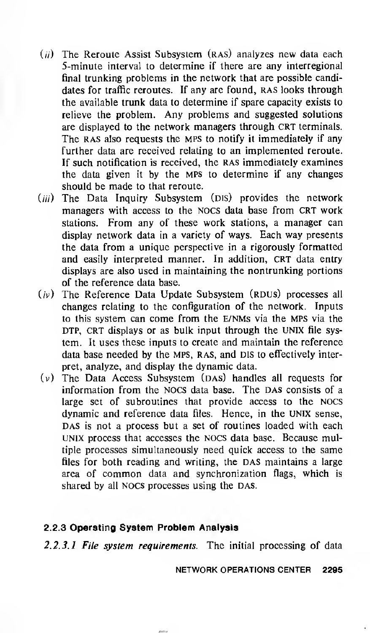- $(i)$  The Reroute Assist Subsystem (RAS) analyzes new data each 5-minute interval to determine if there are any interregional final trunking problems in the network that are possible candidates for traffic reroutes. If any are found, RAS looks through the available trunk data to determine if spare capacity exists to relieve the problem. Any problems and suggested solutions are displayed to the network managers through CRT terminals. The RAS also requests the MPS to notify it immediately if any further data are received relating to an implemented reroute. If such notification is received, the RAS immediately examines the data given it by the MPS to determine if any changes should be made to that reroute.
- (iii) The Data Inquiry Subsystem (DIS) provides the network managers with access to the nocs data base from CRT work stations. From any of these work stations, a manager can display network data in a variety of ways. Each way presents the data from a unique perspective in a rigorously formatted and easily interpreted manner. In addition, CRT data entry displays are also used in maintaining the nontrunking portions of the reference data base.
- $(v)$  The Reference Data Update Subsystem (RDUS) processes all changes relating to the configuration of the network. Inputs to this system can come from the E/NMs via the MPS via the DTP, CRT displays or as bulk input through the UNIX file system. It uses these inputs to create and maintain the reference data base needed by the MPS, RAS, and DIS to effectively interpret, analyze, and display the dynamic data.
- $(v)$  The Data Access Subsystem (DAS) handles all requests for information from the NOCS data base. The DAS consists of a large set of subroutines that provide access to the nocs dynamic and reference data files. Hence, in the UNIX sense, DAS is not a process but a set of routines loaded with each UNIX process that accesses the nocs data base. Because multiple processes simultaneously need quick access to the same files for both reading and writing, the DAS maintains a large area of common data and synchronization flags, which is shared by all NOCS processes using the DAS.

### 2.2.3 Operating System Problem Analysis

2.2.3.1 File system requirements. The initial processing of data

NETWORK OPERATIONS CENTER 2295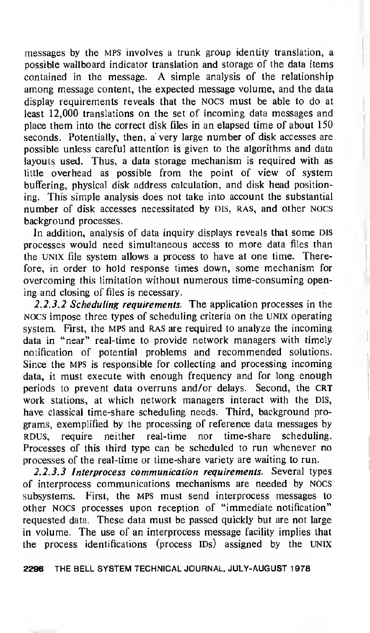messages by the MPS involves <sup>a</sup> trunk group identity translation, a possible wallboard indicator translation and storage of the data items contained in the message. A simple analysis of the relationship among message content, the expected message volume, and the data display requirements reveals that the nocs must be able to do at least 12,000 translations on the set of incoming data messages and place them into the correct disk files in an elapsed time of about 150 seconds. Potentially, then, a very large number of disk accesses are possible unless careful attention is given to the algorithms and data layouts used. Thus, a data storage mechanism is required with as little overhead as possible from the point of view of system buffering, physical disk address calculation, and disk head positioning. This simple analysis does not take into account the substantial number of disk accesses necessitated by DIS, RAS, and other NOCS background processes.

In addition, analysis of data inquiry displays reveals that some Dis processes would need simultaneous access to more data files than the UNIX file system allows a process to have at one time. Therefore, in order to hold response times down, some mechanism for overcoming this limitation without numerous time-consuming opening and closing of files is necessary.

2.2.3.2 Scheduling requirements. The application processes in the NOCS impose three types of scheduling criteria on the UNIX operating system. First, the MPS and RAS are required to analyze the incoming data in "near" real-time to provide network managers with timely notification of potential problems and recommended solutions. Since the MPS is responsible for collecting and processing incoming data, it must execute with enough frequency and for long enough periods to prevent data overruns and/or delays. Second, the CRT work stations, at which network managers interact with the Dis, have classical time-share scheduling needs. Third, background programs, exemplified by the processing of reference data messages by RDUS, require neither real-time nor time-share scheduling. Processes of this third type can be scheduled to run whenever no processes of the real-time or time-share variety are waiting to run.

2.2.3.3 Interprocess communication requirements. Several types of interprocess communications mechanisms are needed by NOCS subsystems. First, the MPS must send interprocess messages to other NOCS processes upon reception of "immediate notification" requested data. These data must be passed quickly but are not large in volume. The use of an interprocess message facility implies that the process identifications (process IDs) assigned by the UNIX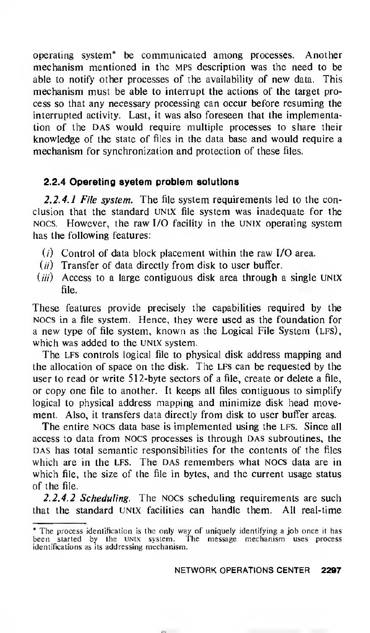operating system\* be communicated among processes. Another mechanism mentioned in the MPS description was the need to be able to notify other processes of the availability of new data. This mechanism must be able to interrupt the actions of the target process so that any necessary processing can occur before resuming the interrupted activity. Last, it was also foreseen that the implementation of the DAS would require multiple processes to share their knowledge of the state of files in the data base and would require a mechanism for synchronization and protection of these files.

# 2.2.4 Operating system problem solutions

2.2.4.1 File system. The file system requirements led to the conclusion that the standard UNIX file system was inadequate for the NOCS. However, the raw I/O facility in the UNIX operating system has the following features:

- $(i)$  Control of data block placement within the raw I/O area.
- $(i)$  Transfer of data directly from disk to user buffer.
- $(iii)$  Access to a large contiguous disk area through a single UNIX file.

These features provide precisely the capabilities required by the nocs in a file system. Hence, they were used as the foundation for a new type of file system, known as the Logical File System (LFS), which was added to the UNIX system.

The LFS controls logical file to physical disk address mapping and the allocation of space on the disk. The LFS can be requested by the user to read or write 512-byte sectors of a file, create or delete a file, or copy one file to another. It keeps all files contiguous to simplify logical to physical address mapping and minimize disk head movement. Also, it transfers data directly from disk to user buffer areas.

The entire NOCS data base is implemented using the LFS. Since all access to data from NOCS processes is through DAS subroutines, the DAS has total semantic responsibilities for the contents of the files which are in the LFS. The DAS remembers what NOCS data are in which file, the size of the file in bytes, and the current usage status of the file.

2.2.4.2 Scheduling. The NOCs scheduling requirements are such that the standard UNIX facilities can handle them. All real-time

<sup>\*</sup> The process identification is the only way of uniquely identifying a job once it has been started by the Unix system. The message mechanism uses process identifications as its addressing mechanism.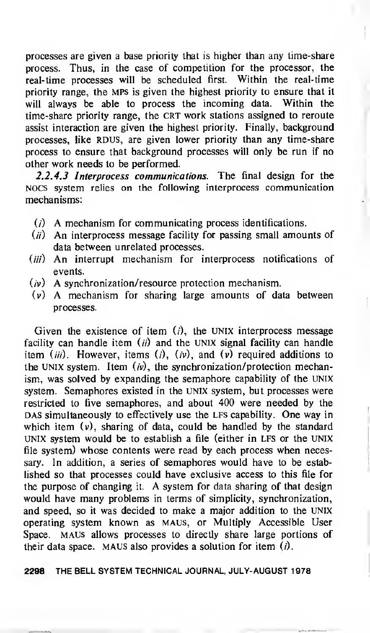processes are given a base priority that is higher than any time-share process. Thus, in the case of competition for the processor, the real-time processes will be scheduled first. Within the real-time priority range, the MPS is given the highest priority to ensure that it will always be able to process the incoming data. Within the time-share priority range, the CRT work stations assigned to reroute assist interaction are given the highest priority. Finally, background processes, like RDUS, are given lower priority than any time-share process to ensure that background processes will only be run if no other work needs to be performed.

2.2.4.3 Interprocess communications. The final design for the NOCS system relies on the following interprocess communication mechanisms:

- $(i)$  A mechanism for communicating process identifications.
- $(i)$  An interprocess message facility for passing small amounts of data between unrelated processes.
- (*iii*) An interrupt mechanism for interprocess notifications of events.
- $(v)$  A synchronization/resource protection mechanism.
- (v) A mechanism for sharing large amounts of data between processes.

Given the existence of item  $(i)$ , the UNIX interprocess message facility can handle item  $(ii)$  and the UNIX signal facility can handle item (*iii*). However, items (*i*), (*iv*), and (*v*) required additions to the UNIX system. Item  $(v)$ , the synchronization/protection mechanism, was solved by expanding the semaphore capability of the UNIX system. Semaphores existed in the UNIX system, but processes were restricted to five semaphores, and about 400 were needed by the DAS simultaneously to effectively use the LFS capability. One way in which item  $(v)$ , sharing of data, could be handled by the standard UNIX system would be to establish a file (either in LFS or the UNIX file system) whose contents were read by each process when necessary. In addition, a series of semaphores would have to be established so that processes could have exclusive access to this file for the purpose of changing it. A system for data sharing of that design would have many problems in terms of simplicity, synchronization, and speed, so it was decided to make a major addition to the UNIX operating system known as maus, or Multiply Accessible User Space. MAUS allows processes to directly share large portions of their data space. MAUS also provides a solution for item  $(i)$ .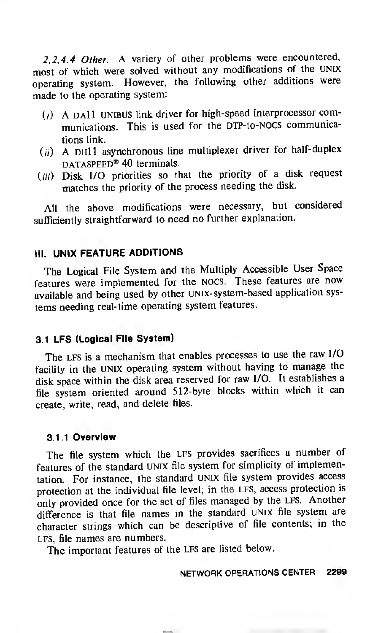2.2.4.4 Other. A variety of other problems were encountered, most of which were solved without any modifications of the UNIX operating system. However, the following other additions were made to the operating system:

- $(i)$  A DAll unibus link driver for high-speed interprocessor communications. This is used for the DTP-to-NOCS communications link.
- $(i)$  A DH11 asynchronous line multiplexer driver for half-duplex DATASPEED<sup>®</sup> 40 terminals.
- (iii) Disk I/O priorities so that the priority of a disk request matches the priority of the process needing the disk.

All the above modifications were necessary, but considered sufficiently straightforward to need no further explanation.

# III. UNIX FEATURE ADDITIONS

The Logical File System and the Multiply Accessible User Space features were implemented for the nocs. These features are now available and being used by other UNix-system-based application systems needing real-time operating system features.

# 3.1 LFS (Logical File System)

The LFS is <sup>a</sup> mechanism that enables processes to use the raw I/O facility in the UNIX operating system without having to manage the disk space within the disk area reserved for raw I/O. It establishes <sup>a</sup> file system oriented around 512-byte blocks within which it can create, write, read, and delete files.

### 3.1.1 Overview

The file system which the LFS provides sacrifices <sup>a</sup> number of features of the standard UNIX file system for simplicity of implementation. For instance, the standard Unix file system provides access protection at the individual file level; in the LFS, access protection is only provided once for the set of files managed by the LFS. Another difference is that file names in the standard UNIX file system are character strings which can be descriptive of file contents; in the LFS, file names are numbers.

The important features of the LFS are listed below.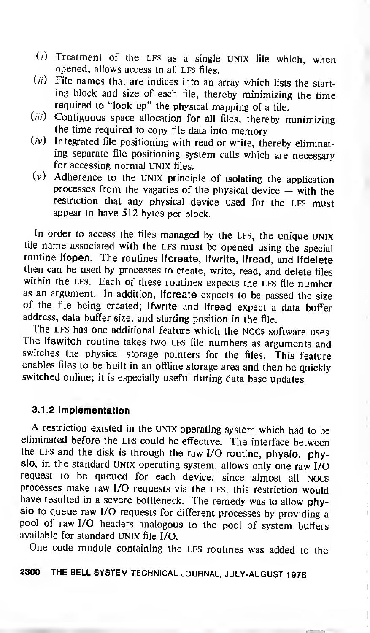- $(i)$  Treatment of the LFS as a single UNIX file which, when opened, allows access to all LFS files.
- $(ii)$  File names that are indices into an array which lists the starting block and size of each file, thereby minimizing the time required to "look up" the physical mapping of a file.
- $(iii)$  Contiguous space allocation for all files, thereby minimizing the time required to copy file data into memory.
- $(iv)$  Integrated file positioning with read or write, thereby eliminating separate file positioning system calls which are necessary for accessing normal UNIX files.
- (v) Adherence to the UNIX principle of isolating the application processes from the vagaries of the physical device — with the restriction that any physical device used for the LFS must appear to have 512 bytes per block.

In order to access the files managed by the LFS, the unique UNIX file name associated with the LFS must be opened using the special routine Ifopen. The routines Ifcreate, Ifwrite, Ifread, and Ifdelete then can be used by processes to create, write, read, and delete files within the LFS. Each of these routines expects the LFS file number as an argument. In addition, Ifcreate expects to be passed the size of the file being created; Ifwrite and Ifread expect <sup>a</sup> data buffer address, data buffer size, and starting position in the file.

The lfs witch routine takes two LFS file numbers as arguments and switches the physical storage pointers for the files. This feature enables files to be built in an offline storage area and then be quickly switched online; it is especially useful during data base updates.

### 3.1.2 Implementation

A restriction existed in the UNIX operating system which had to be eliminated before the LFS could be effective. The interface between the lfs and the disk is through the raw I/O routine, physio, physio, in the standard UNIX operating system, allows only one raw I/O request to be queued for each device; since almost all nocs processes make raw I/O requests via the lfs, this restriction would have resulted in <sup>a</sup> severe bottleneck. The remedy was to allow physio to queue raw I/O requests for different processes by providing <sup>a</sup> pool of raw I/O headers analogous to the pool of system buffers available for standard UNIX file I/O.

One code module containing the LFS routines was added to the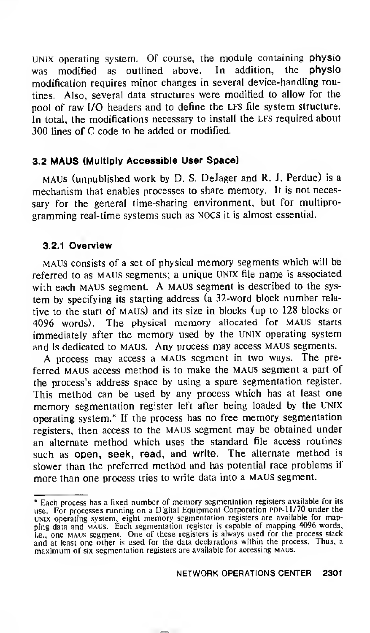UNIX operating system. Of course, the module containing physio was modified as outlined above. In addition, the physio modification requires minor changes in several device-handling routines. Also, several data structures were modified to allow for the pool of raw I/O headers and to define the LFS file system structure. In total, the modifications necessary to install the LFS required about 300 lines of C code to be added or modified.

# 3.2 MAUS (Multiply Accessible User Space)

maus (unpublished work by D. S. DeJager and R. J. Perdue) is a mechanism that enables processes to share memory. It is not necessary for the general time-sharing environment, but for multiprogramming real-time systems such as nocs it is almost essential.

### 3.2.1 Overview

MAUS consists of <sup>a</sup> set of physical memory segments which will be referred to as MAUS segments; <sup>a</sup> unique UNIX file name is associated with each MAUS segment. A maus segment is described to the system by specifying its starting address (a 32-word block number relative to the start of maus) and its size in blocks (up to 128 blocks or 4096 words). The physical memory allocated for MAUS starts immediately after the memory used by the UNIX operating system and is dedicated to MAUS. Any process may access MAUS segments.

A process may access <sup>a</sup> maus segment in two ways. The preferred maus access method is to make the maus segment <sup>a</sup> part of the process's address space by using a spare segmentation register. This method can be used by any process which has at least one memory segmentation register left after being loaded by the UNIX operating system.\* If the process has no free memory segmentation registers, then access to the maus segment may be obtained under an alternate method which uses the standard file access routines such as open, seek, read, and write. The alternate method is slower than the preferred method and has potential race problems if more than one process tries to write data into <sup>a</sup> maus segment.

<sup>\*</sup> Each process has <sup>a</sup> fixed number of memory segmentation registers available for its use. For processes running on a Digital Equipment Corporation PDP-11/70 under the unix operating system, eight memory segmentation registers are available for mapping data and maus. Each segmentation register is capable of mapping 4096 words, i.e., one MAUS segment. One of these registers is always used for the process stack and at least one other is used for the data declarations within the process. Thus, a maximum of six segmentation registers are available for accessing MAUS.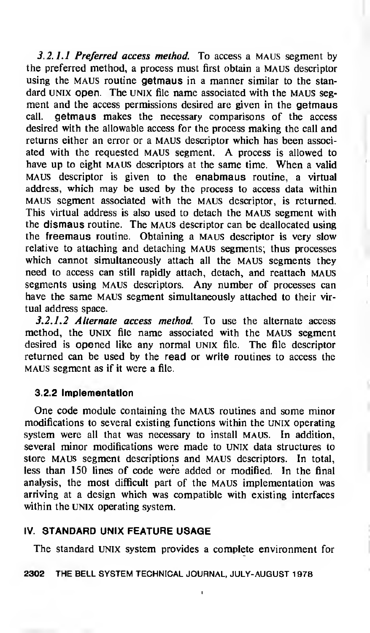3.2.1.1 Preferred access method. To access a MAUS segment by the preferred method, a process must first obtain a MAUS descriptor using the MAUS routine **getmaus** in a manner similar to the standard UNIX open. The UNIX file name associated with the MAUS segment and the access permissions desired are given in the getmaus call, getmaus makes the necessary comparisons of the access desired with the allowable access for the process making the call and returns either an error or a maus descriptor which has been associated with the requested maus segment. A process is allowed to have up to eight MAUS descriptors at the same time. When a valid maus descriptor is given to the enabmaus routine, <sup>a</sup> virtual address, which may be used by the process to access data within MAUS segment associated with the maus descriptor, is returned. This virtual address is also used to detach the maus segment with the dismaus routine. The maus descriptor can be deallocated using the freemaus routine. Obtaining a maus descriptor is very slow relative to attaching and detaching maus segments; thus processes which cannot simultaneously attach all the MAUS segments they need to access can still rapidly attach, detach, and reattach maus segments using MAUS descriptors. Any number of processes can have the same maus segment simultaneously attached to their virtual address space.

3.2.1.2 Alternate access method. To use the alternate access method, the UNIX file name associated with the MAUS segment desired is opened like any normal unix file. The file descriptor returned can be used by the read or write routines to access the maus segment as if it were a file.

# 3.2.2 Implementation

One code module containing the MAUS routines and some minor modifications to several existing functions within the unix operating system were all that was necessary to install MAUS. In addition, several minor modifications were made to UNIX data structures to store maus segment descriptions and maus descriptors. In total, less than 150 lines of code were added or modified. In the final analysis, the most difficult part of the maus implementation was arriving at a design which was compatible with existing interfaces within the UNIX operating system.

# IV. STANDARD UNIX FEATURE USAGE

The standard UNIX system provides a complete environment for

ï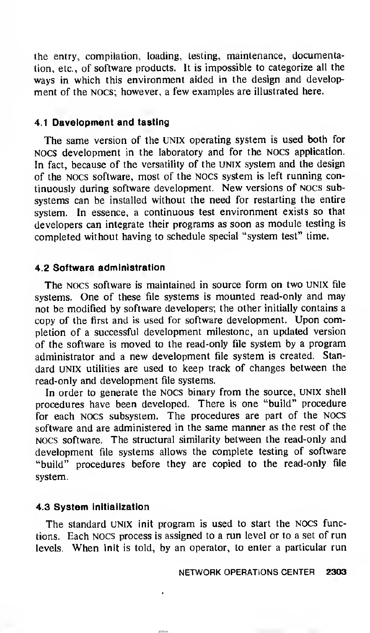the entry, compilation, loading, testing, maintenance, documentation, etc., of software products. It is impossible to categorize all the ways in which this environment aided in the design and development of the nocs; however, a few examples are illustrated here.

# 4.1 Davelopment and tasting

The same version of the UNIX operating system is used both for nocs development in the laboratory and for the NOCS application. In fact, because of the versatility of the UNIX system and the design of the nocs software, most of the nocs system is left running continuously during software development. New versions of nocs subsystems can be installed without the need for restarting the entire system. In essence, a continuous test environment exists so that developers can integrate their programs as soon as module testing is completed without having to schedule special "system test" time.

### 4.2 Software administration

The NOCS software is maintained in source form on two UNIX file systems. One of these file systems is mounted read-only and may not be modified by software developers; the other initially contains a copy of the first and is used for software development. Upon completion of a successful development milestone, an updated version of the software is moved to the read-only file system by <sup>a</sup> program administrator and <sup>a</sup> new development file system is created. Standard UNIX utilities are used to keep track of changes between the read-only and development file systems.

In order to generate the nocs binary from the source, UNIX shell procedures have been developed. There is one "build" procedure for each nocs subsystem. The procedures are part of the nocs software and are administered in the same manner as the rest of the NOCS software. The structural similarity between the read-only and development file systems allows the complete testing of software "build" procedures before they are copied to the read-only file system.

### 4.3 System initialization

The standard UNIX init program is used to start the NOCS functions. Each NOCS process is assigned to a run level or to a set of run levels. When init is told, by an operator, to enter a particular run